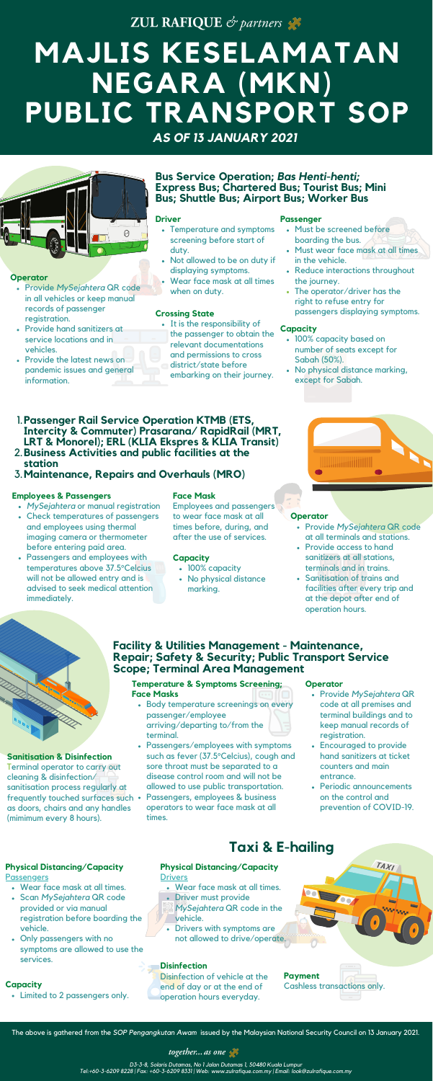ZUL RAFIQUE & partners

# **MAJLIS KESELAMATAN NEGARA (MKN) PUBLIC TRANSPORT SOP**

#### **Sanitisation & Disinfection**

Terminal operator to carry out cleaning & disinfection/ sanitisation process regularly at frequently touched surfaces such as doors, chairs and any handles (mimimum every 8 hours).

- Body temperature screenings on every passenger/employee arriving/departing to/from the terminal.
- Passengers/employees with symptoms such as fever (37.5°Celcius), cough and sore throat must be separated to a disease control room and will not be allowed to use public transportation.
- Passengers, employees & business operators to wear face mask at all times.

#### **Temperature & Symptoms Screening; Face Masks**

- *MySejahtera* or manual registration
- Check temperatures of passengers and employees using thermal imaging camera or thermometer before entering paid area.
- Passengers and employees with temperatures above 37.5°Celcius will not be allowed entry and is advised to seek medical attention immediately.
- 100% capacity based on number of seats except for Sabah (50%).
- No physical distance marking, except for Sabah.
- **Passenger Rail Service Operation KTMB (ETS,** 1. **Intercity & Commuter) Prasarana/ RapidRail (MRT, LRT & Monorel); ERL (KLIA Ekspres & KLIA Transit)**
- **Business Activities and public facilities at the** 2. **station**
- **Maintenance, Repairs and Overhauls (MRO)** 3.

• It is the responsibility of the passenger to obtain the relevant documentations and permissions to cross district/state before embarking on their journey.

#### **Employees & Passengers**

## **Bus Service Operation;** *Bas Henti-henti;* **Express Bus; Chartered Bus; Tourist Bus; Mini Bus; Shuttle Bus; Airport Bus; Worker Bus**

## **Physical Distancing/Capacity Drivers**

- Temperature and symptoms screening before start of duty.
- Not allowed to be on duty if displaying symptoms.
- Wear face mask at all times when on duty.

#### **Driver**

- 100% capacity
- No physical distance marking.



- Must be screened before boarding the bus.
- Must wear face mask at all times in the vehicle.
- Reduce interactions throughout the journey.
- The operator/driver has the right to refuse entry for passengers displaying symptoms.

#### **Passenger**

- Wear face mask at all times.
- Scan *MySejahtera* QR code provided or via manual registration before boarding the vehicle.
- Only passengers with no symptoms are allowed to use the services.

# **Physical Distancing/Capacity**

#### **Passengers**

# **Facility & Utilities Management - Maintenance, Repair; Safety & Security; Public Transport Service Scope; Terminal Area Management**







#### **Capacity**

#### **Crossing State**

#### **Face Mask**

Employees and passengers to wear face mask at all times before, during, and after the use of services.

- Wear face mask at all times.
- **· Driver must provide**
- *MySejahtera* QR code in the vehicle.
- Drivers with symptoms are not allowed to drive/operate.

The above is gathered from the *SOP Pengangkutan Awam* issued by the Malaysian National Security Council on 13 January 2021.



*D3-3-8, Solaris Dutamas, No 1 Jalan Dutamas 1, 50480 Kuala Lumpur Tel:+60-3-6209 8228 | Fax: +60-3-6209 8331 | Web: www.zulrafique.com.my | Email: look@zulrafique.com.my*

# **Taxi & E-hailing**

#### **Capacity**

**Payment** Cashless transactions only.

#### **Disinfection**

Disinfection of vehicle at the end of day or at the end of operation hours everyday.

- Provide *MySejahtera* QR code in all vehicles or keep manual records of passenger registration.
- Provide hand sanitizers at service locations and in vehicles.
- Provide the latest news on pandemic issues and general information.

#### **Operator**

- Provide *MySejahtera* QR code at all terminals and stations.
- Provide access to hand sanitizers at all stations, terminals and in trains.
- Sanitisation of trains and facilities after every trip and at the depot after end of operation hours.

#### **Operator**

- Provide *MySejahtera* QR code at all premises and terminal buildings and to keep manual records of registration.
- Encouraged to provide hand sanitizers at ticket counters and main entrance.
- Periodic announcements on the control and prevention of COVID-19.

TAXI

#### **Operator**

Limited to 2 passengers only.

### **Capacity**